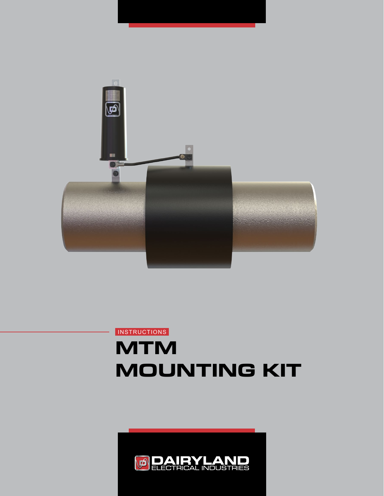

# **MTM MOUNTING KIT INSTRUCTIONS**

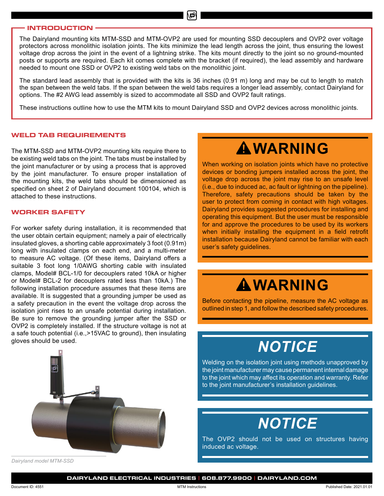#### **INTRODUCTION**

The Dairyland mounting kits MTM-SSD and MTM-OVP2 are used for mounting SSD decouplers and OVP2 over voltage protectors across monolithic isolation joints. The kits minimize the lead length across the joint, thus ensuring the lowest voltage drop across the joint in the event of a lightning strike. The kits mount directly to the joint so no ground-mounted posts or supports are required. Each kit comes complete with the bracket (if required), the lead assembly and hardware needed to mount one SSD or OVP2 to existing weld tabs on the monolithic joint.

∖©ง

The standard lead assembly that is provided with the kits is 36 inches (0.91 m) long and may be cut to length to match the span between the weld tabs. If the span between the weld tabs requires a longer lead assembly, contact Dairyland for options. The #2 AWG lead assembly is sized to accommodate all SSD and OVP2 fault ratings.

These instructions outline how to use the MTM kits to mount Dairyland SSD and OVP2 devices across monolithic joints.

#### **WELD TAB REQUIREMENTS**

The MTM-SSD and MTM-OVP2 mounting kits require there to be existing weld tabs on the joint. The tabs must be installed by the joint manufacturer or by using a process that is approved by the joint manufacturer. To ensure proper installation of the mounting kits, the weld tabs should be dimensioned as specified on sheet 2 of Dairyland document 100104, which is attached to these instructions.

#### **WORKER SAFETY**

For worker safety during installation, it is recommended that the user obtain certain equipment; namely a pair of electrically insulated gloves, a shorting cable approximately 3 foot (0.91m) long with insulated clamps on each end, and a multi-meter to measure AC voltage. (Of these items, Dairyland offers a suitable 3 foot long 1/0AWG shorting cable with insulated clamps, Model# BCL-1/0 for decouplers rated 10kA or higher or Model# BCL-2 for decouplers rated less than 10kA.) The following installation procedure assumes that these items are available. It is suggested that a grounding jumper be used as a safety precaution in the event the voltage drop across the isolation joint rises to an unsafe potential during installation. Be sure to remove the grounding jumper after the SSD or OVP2 is completely installed. If the structure voltage is not at a safe touch potential (i.e.,>15VAC to ground), then insulating gloves should be used.



*Dairyland model MTM-SSD*

# **WARNING**

When working on isolation joints which have no protective devices or bonding jumpers installed across the joint, the voltage drop across the joint may rise to an unsafe level (i.e., due to induced ac, ac fault or lightning on the pipeline). Therefore, safety precautions should be taken by the user to protect from coming in contact with high voltages. Dairyland provides suggested procedures for installing and operating this equipment. But the user must be responsible for and approve the procedures to be used by its workers when initially installing the equipment in a field retrofit installation because Dairyland cannot be familiar with each user's safety guidelines.

# **WARNING**

Before contacting the pipeline, measure the AC voltage as outlined in step 1, and follow the described safety procedures.

## *NOTICE*

Welding on the isolation joint using methods unapproved by the joint manufacturer may cause permanent internal damage to the joint which may affect its operation and warranty. Refer to the joint manufacturer's installation guidelines.

# *NOTICE*

The OVP2 should not be used on structures having induced ac voltage.

**DAIRYLAND ELECTRICAL INDUSTRIES | 608.877.9900 | DAIRYLAND.COM**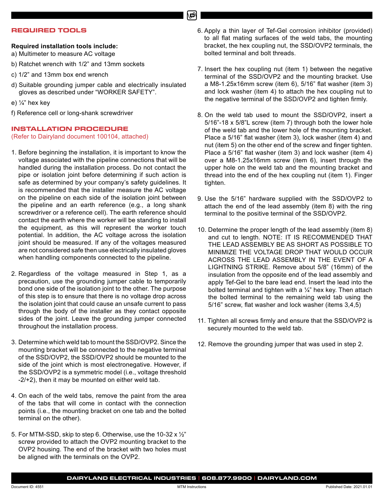#### **REQUIRED TOOLS**

### **Required installation tools include:**

a) Multimeter to measure AC voltage

- b) Ratchet wrench with 1/2" and 13mm sockets
- c) 1/2" and 13mm box end wrench
- d) Suitable grounding jumper cable and electrically insulated gloves as described under "WORKER SAFETY".
- e) ¼" hex key
- f) Reference cell or long-shank screwdriver

### **INSTALLATION PROCEDURE**

(Refer to Dairyland document 100104, attached)

- 1. Before beginning the installation, it is important to know the voltage associated with the pipeline connections that will be handled during the installation process. Do not contact the pipe or isolation joint before determining if such action is safe as determined by your company's safety guidelines. It is recommended that the installer measure the AC voltage on the pipeline on each side of the isolation joint between the pipeline and an earth reference (e.g., a long shank screwdriver or a reference cell). The earth reference should contact the earth where the worker will be standing to install the equipment, as this will represent the worker touch potential. In addition, the AC voltage across the isolation joint should be measured. If any of the voltages measured are not considered safe then use electrically insulated gloves when handling components connected to the pipeline.
- 2. Regardless of the voltage measured in Step 1, as a precaution, use the grounding jumper cable to temporarily bond one side of the isolation joint to the other. The purpose of this step is to ensure that there is no voltage drop across the isolation joint that could cause an unsafe current to pass through the body of the installer as they contact opposite sides of the joint. Leave the grounding jumper connected throughout the installation process.
- 3. Determine which weld tab to mount the SSD/OVP2. Since the mounting bracket will be connected to the negative terminal of the SSD/OVP2, the SSD/OVP2 should be mounted to the side of the joint which is most electronegative. However, if the SSD/OVP2 is a symmetric model (i.e., voltage threshold -2/+2), then it may be mounted on either weld tab.
- 4. On each of the weld tabs, remove the paint from the area of the tabs that will come in contact with the connection points (i.e., the mounting bracket on one tab and the bolted terminal on the other).
- 5. For MTM-SSD, skip to step 6. Otherwise, use the 10-32 x ½" screw provided to attach the OVP2 mounting bracket to the OVP2 housing. The end of the bracket with two holes must be aligned with the terminals on the OVP2.
- 6. Apply a thin layer of Tef-Gel corrosion inhibitor (provided) to all flat mating surfaces of the weld tabs, the mounting bracket, the hex coupling nut, the SSD/OVP2 terminals, the bolted terminal and bolt threads.
- 7. Insert the hex coupling nut (item 1) between the negative terminal of the SSD/OVP2 and the mounting bracket. Use a M8-1.25x16mm screw (item 6), 5/16" flat washer (item 3) and lock washer (item 4) to attach the hex coupling nut to the negative terminal of the SSD/OVP2 and tighten firmly.
- 8. On the weld tab used to mount the SSD/OVP2, insert a 5/16"-18 x 5/8"L screw (item 7) through both the lower hole of the weld tab and the lower hole of the mounting bracket. Place a 5/16" flat washer (item 3), lock washer (item 4) and nut (item 5) on the other end of the screw and finger tighten. Place a 5/16" flat washer (item 3) and lock washer (item 4) over a M8-1.25x16mm screw (item 6), insert through the upper hole on the weld tab and the mounting bracket and thread into the end of the hex coupling nut (item 1). Finger tighten.
- 9. Use the 5/16" hardware supplied with the SSD/OVP2 to attach the end of the lead assembly (item 8) with the ring terminal to the positive terminal of the SSD/OVP2.
- 10. Determine the proper length of the lead assembly (item 8) and cut to length. NOTE: IT IS RECOMMENDED THAT THE LEAD ASSEMBLY BE AS SHORT AS POSSIBLE TO MINIMIZE THE VOLTAGE DROP THAT WOULD OCCUR ACROSS THE LEAD ASSEMBLY IN THE EVENT OF A LIGHTNING STRIKE. Remove about 5/8" (16mm) of the insulation from the opposite end of the lead assembly and apply Tef-Gel to the bare lead end. Insert the lead into the bolted terminal and tighten with a  $\frac{1}{4}$ " hex key. Then attach the bolted terminal to the remaining weld tab using the 5/16" screw, flat washer and lock washer (items 3,4,5)
- 11. Tighten all screws firmly and ensure that the SSD/OVP2 is securely mounted to the weld tab.
- 12. Remove the grounding jumper that was used in step 2.

மி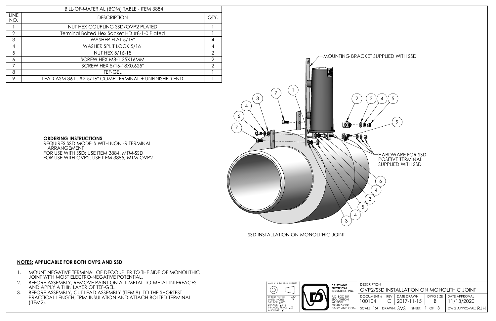SSD INSTALLATION ON MONOLITHIC JOINT



### **NOTES: APPLICABLE FOR BOTH OVP2 AND SSD**

- 1. MOUNT NEGATIVE TERMINAL OF DECOUPLER TO THE SIDE OF MONOLITHIC JOINT WITH MOST ELECTRO-NEGATIVE POTENTIAL.
- 2. BEFORE ASSEMBLY, REMOVE PAINT ON ALL METAL-TO-METAL INTERFACES AND APPLY A THIN LAYER OF TEF-GEL.
- 3. BEFORE ASSEMBLY, CUT LEAD ASSEMBLY (ITEM 8) TO THE SHORTEST PRACTICAL LENGTH, TRIM INSULATION AND ATTACH BOLTED TERMINAL (ITEM2).

### **ORDERING INSTRUCTIONS**

REQUIRES SSD MODELS WITH NON -R TERMINAL ARRANGEMENT FOR USE WITH SSD: USE ITEM 3884, MTM-SSD FOR USE WITH OVP2: USE ITEM 3885, MTM-OVP2

|                    | BILL-OF-MATERIAL (BOM) TABLE - ITEM 3884               |               |  |  |  |
|--------------------|--------------------------------------------------------|---------------|--|--|--|
| <b>LINE</b><br>NO. | <b>DESCRIPTION</b>                                     |               |  |  |  |
|                    | NUT HEX COUPLING SSD/OVP2 PLATED                       |               |  |  |  |
| $\mathcal{P}$      | Terminal Bolted Hex Socket HD #8-1-0 Plated            |               |  |  |  |
| 3                  | WASHER FLAT 5/16"                                      |               |  |  |  |
| 4                  | WASHER SPLIT LOCK 5/16"                                |               |  |  |  |
| 5                  | NUT HEX 5/16-18                                        | $\mathcal{P}$ |  |  |  |
| 6                  | SCREW HEX M8-1.25X16MM                                 | 2             |  |  |  |
| 7                  | SCREW HEX 5/16-18X0.625"                               | $\mathcal{P}$ |  |  |  |
| 8                  | <b>TEF-GEL</b>                                         |               |  |  |  |
| 9                  | LEAD ASM 36"L, #2-5/16" COMP TERMINAL + UNFINISHED END |               |  |  |  |

| DESCRIPTION                               |  |                |  |   |                          |  |
|-------------------------------------------|--|----------------|--|---|--------------------------|--|
| OVP2/SSD INSTALLATION ON MONOLITHIC JOINT |  |                |  |   |                          |  |
| DOCUMENT #   REV                          |  | DATE DRAWN     |  |   | DWG SIZE   DATE APPROVAL |  |
| 100104                                    |  | $ 2017-11-15 $ |  | В | 11/13/2020               |  |
| scale 1:4   drawn: $SVS$   sheet: 1 of 3  |  |                |  |   | DWG APPROVAL: RJH        |  |

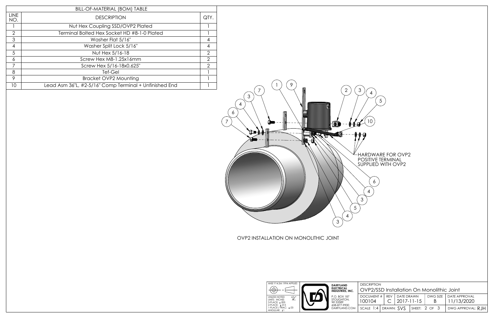OVP2 INSTALLATION ON MONOLITHIC JOINT



HARDWARE FOR OVP2 POSITIVE TERMINAL SUPPLIED WITH OVP2

|                    | BILL-OF-MATERIAL (BOM) TABLE                           |                |
|--------------------|--------------------------------------------------------|----------------|
| <b>LINE</b><br>NO. | <b>DESCRIPTION</b>                                     | QTY.           |
|                    | Nut Hex Coupling SSD/OVP2 Plated                       |                |
| $\overline{2}$     | Terminal Bolted Hex Socket HD #8-1-0 Plated            |                |
| 3                  | Washer Flat 5/16"                                      | 4              |
| $\overline{4}$     | Washer Split Lock 5/16"                                | 4              |
| 5                  | Nut Hex 5/16-18                                        | $\overline{2}$ |
| 6                  | Screw Hex M8-1.25x16mm                                 | $\overline{2}$ |
| 7                  | Screw Hex 5/16-18x0.625"                               | $\mathcal{P}$  |
| 8                  | Tef-Gel                                                |                |
| 9                  | <b>Bracket OVP2 Mounting</b>                           |                |
| 10                 | Lead Asm 36"L, #2-5/16" Comp Terminal + Unfinished End |                |

| יוטוו ווישכבי                             |  |                                                   |  |                   |                                        |  |
|-------------------------------------------|--|---------------------------------------------------|--|-------------------|----------------------------------------|--|
| OVP2/SSD Installation On Monolithic Joint |  |                                                   |  |                   |                                        |  |
| 100104                                    |  | DOCUMENT #   REV   DATE DRAWN<br>$C$   2017-11-15 |  | B.                | DWG SIZE   DATE APPROVAL<br>11/13/2020 |  |
| scale 1:4   drawn: $SVS$   sheet: 2 of 3  |  |                                                   |  | DWG APPROVAL: RJH |                                        |  |